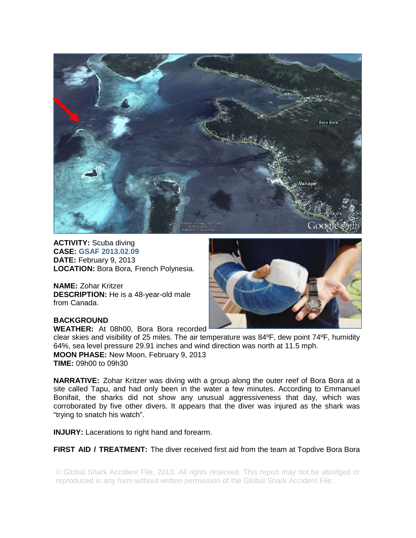

**ACTIVITY:** Scuba diving **CASE: GSAF 2013.02.09 DATE:** February 9, 2013 **LOCATION:** Bora Bora, French Polynesia.

**NAME:** Zohar Kritzer **DESCRIPTION:** He is a 48-year-old male from Canada.



# **BACKGROUND**

**WEATHER:** At 08h00, Bora Bora recorded

clear skies and visibility of 25 miles. The air temperature was 84ºF, dew point 74ºF, humidity 64%, sea level pressure 29.91 inches and wind direction was north at 11.5 mph. **MOON PHASE:** New Moon, February 9, 2013 **TIME:** 09h00 to 09h30

**NARRATIVE:** Zohar Kritzer was diving with a group along the outer reef of Bora Bora at a site called Tapu, and had only been in the water a few minutes. According to Emmanuel Bonifait, the sharks did not show any unusual aggressiveness that day, which was corroborated by five other divers. It appears that the diver was injured as the shark was "trying to snatch his watch".

**INJURY:** Lacerations to right hand and forearm.

**FIRST AID / TREATMENT:** The diver received first aid from the team at Topdive Bora Bora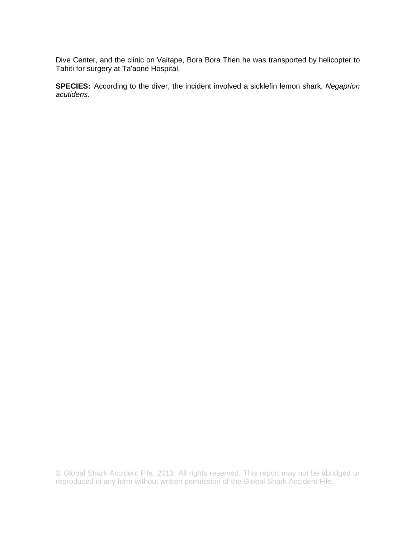Dive Center, and the clinic on Vaitape, Bora Bora Then he was transported by helicopter to Tahiti for surgery at Ta'aone Hospital.

**SPECIES:** According to the diver, the incident involved a sicklefin lemon shark, *Negaprion acutidens.*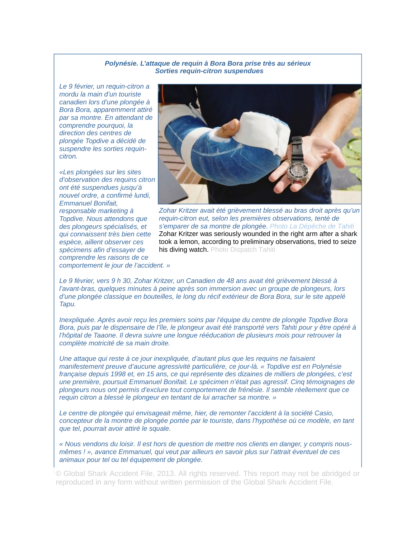#### *Polynésie. L'attaque de requin à Bora Bora prise très au sérieux Sorties requin-citron suspendues*

*Le 9 février, un requin-citron a mordu la main d'un touriste canadien lors d'une plongée à Bora Bora, apparemment attiré par sa montre. En attendant de comprendre pourquoi, la direction des centres de plongée Topdive a décidé de suspendre les sorties requincitron.* 

*«Les plongées sur les sites d'observation des requins citron ont été suspendues jusqu'à nouvel ordre, a confirmé lundi, Emmanuel Bonifait, responsable marketing à Topdive. Nous attendons que des plongeurs spécialisés, et qui connaissent très bien cette espèce, aillent observer ces spécimens afin d'essayer de comprendre les raisons de ce* 



*Zohar Kritzer avait été grièvement blessé au bras droit après qu'un requin-citron eut, selon les premières observations, tenté de s'emparer de sa montre de plongée. Photo La Dépêche de Tahiti*  Zohar Kritzer was seriously wounded in the right arm after a shark took a lemon, according to preliminary observations, tried to seize his diving watch. Photo Dispatch Tahiti

*comportement le jour de l'accident. »* 

*Le 9 février, vers 9 h 30, Zohar Kritzer, un Canadien de 48 ans avait été grièvement blessé à l'avant-bras, quelques minutes à peine après son immersion avec un groupe de plongeurs, lors d'une plongée classique en bouteilles, le long du récif extérieur de Bora Bora, sur le site appelé Tapu.* 

*Inexpliquée. Après avoir reçu les premiers soins par l'équipe du centre de plongée Topdive Bora Bora, puis par le dispensaire de l'île, le plongeur avait été transporté vers Tahiti pour y être opéré à l'hôpital de Taaone. Il devra suivre une longue rééducation de plusieurs mois pour retrouver la complète motricité de sa main droite.* 

*Une attaque qui reste à ce jour inexpliquée, d'autant plus que les requins ne faisaient manifestement preuve d'aucune agressivité particulière, ce jour-là. « Topdive est en Polynésie française depuis 1998 et, en 15 ans, ce qui représente des dizaines de milliers de plongées, c'est une première, poursuit Emmanuel Bonifait. Le spécimen n'était pas agressif. Cinq témoignages de plongeurs nous ont permis d'exclure tout comportement de frénésie. Il semble réellement que ce requin citron a blessé le plongeur en tentant de lui arracher sa montre. »* 

*Le centre de plongée qui envisageait même, hier, de remonter l'accident à la société Casio, concepteur de la montre de plongée portée par le touriste, dans l'hypothèse où ce modèle, en tant que tel, pourrait avoir attiré le squale.* 

*« Nous vendons du loisir. Il est hors de question de mettre nos clients en danger, y compris nousmêmes ! », avance Emmanuel, qui veut par ailleurs en savoir plus sur l'attrait éventuel de ces animaux pour tel ou tel équipement de plongée.*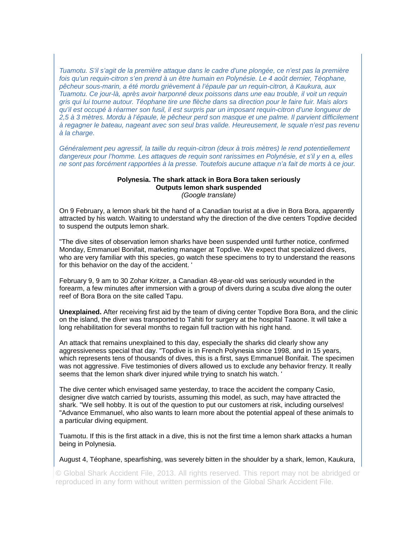*Tuamotu. S'il s'agit de la première attaque dans le cadre d'une plongée, ce n'est pas la première*  fois qu'un requin-citron s'en prend à un être humain en Polynésie. Le 4 août dernier, Téophane, *pêcheur sous-marin, a été mordu grièvement à l'épaule par un requin-citron, à Kaukura, aux Tuamotu. Ce jour-là, après avoir harponné deux poissons dans une eau trouble, il voit un requin gris qui lui tourne autour. Téophane tire une flèche dans sa direction pour le faire fuir. Mais alors qu'il est occupé à réarmer son fusil, il est surpris par un imposant requin-citron d'une longueur de 2,5 à 3 mètres. Mordu à l'épaule, le pêcheur perd son masque et une palme. Il parvient difficilement à regagner le bateau, nageant avec son seul bras valide. Heureusement, le squale n'est pas revenu à la charge.* 

*Généralement peu agressif, la taille du requin-citron (deux à trois mètres) le rend potentiellement dangereux pour l'homme. Les attaques de requin sont rarissimes en Polynésie, et s'il y en a, elles ne sont pas forcément rapportées à la presse. Toutefois aucune attaque n'a fait de morts à ce jour.* 

#### **Polynesia. The shark attack in Bora Bora taken seriously Outputs lemon shark suspended**  *(Google translate)*

On 9 February, a lemon shark bit the hand of a Canadian tourist at a dive in Bora Bora, apparently attracted by his watch. Waiting to understand why the direction of the dive centers Topdive decided to suspend the outputs lemon shark.

"The dive sites of observation lemon sharks have been suspended until further notice, confirmed Monday, Emmanuel Bonifait, marketing manager at Topdive. We expect that specialized divers, who are very familiar with this species, go watch these specimens to try to understand the reasons for this behavior on the day of the accident. '

February 9, 9 am to 30 Zohar Kritzer, a Canadian 48-year-old was seriously wounded in the forearm, a few minutes after immersion with a group of divers during a scuba dive along the outer reef of Bora Bora on the site called Tapu.

**Unexplained.** After receiving first aid by the team of diving center Topdive Bora Bora, and the clinic on the island, the diver was transported to Tahiti for surgery at the hospital Taaone. It will take a long rehabilitation for several months to regain full traction with his right hand.

An attack that remains unexplained to this day, especially the sharks did clearly show any aggressiveness special that day. "Topdive is in French Polynesia since 1998, and in 15 years, which represents tens of thousands of dives, this is a first, says Emmanuel Bonifait. The specimen was not aggressive. Five testimonies of divers allowed us to exclude any behavior frenzy. It really seems that the lemon shark diver injured while trying to snatch his watch. '

The dive center which envisaged same yesterday, to trace the accident the company Casio, designer dive watch carried by tourists, assuming this model, as such, may have attracted the shark. "We sell hobby. It is out of the question to put our customers at risk, including ourselves! "Advance Emmanuel, who also wants to learn more about the potential appeal of these animals to a particular diving equipment.

Tuamotu. If this is the first attack in a dive, this is not the first time a lemon shark attacks a human being in Polynesia.

August 4, Téophane, spearfishing, was severely bitten in the shoulder by a shark, lemon, Kaukura,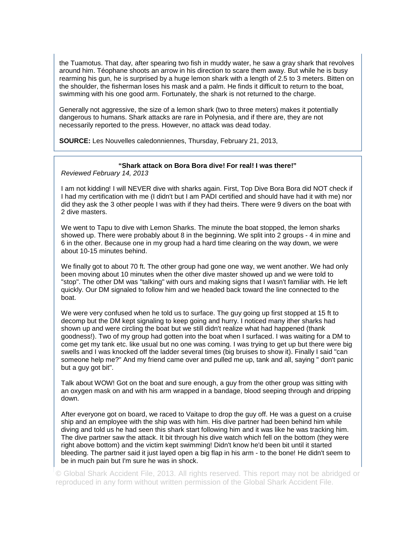the Tuamotus. That day, after spearing two fish in muddy water, he saw a gray shark that revolves around him. Téophane shoots an arrow in his direction to scare them away. But while he is busy rearming his gun, he is surprised by a huge lemon shark with a length of 2.5 to 3 meters. Bitten on the shoulder, the fisherman loses his mask and a palm. He finds it difficult to return to the boat, swimming with his one good arm. Fortunately, the shark is not returned to the charge.

Generally not aggressive, the size of a lemon shark (two to three meters) makes it potentially dangerous to humans. Shark attacks are rare in Polynesia, and if there are, they are not necessarily reported to the press. However, no attack was dead today.

**SOURCE:** Les Nouvelles caledonniennes, Thursday, February 21, 2013,

# **"Shark attack on Bora Bora dive! For real! I was there!"**

*Reviewed February 14, 2013* 

I am not kidding! I will NEVER dive with sharks again. First, Top Dive Bora Bora did NOT check if I had my certification with me (I didn't but I am PADI certified and should have had it with me) nor did they ask the 3 other people I was with if they had theirs. There were 9 divers on the boat with 2 dive masters.

We went to Tapu to dive with Lemon Sharks. The minute the boat stopped, the lemon sharks showed up. There were probably about 8 in the beginning. We split into 2 groups - 4 in mine and 6 in the other. Because one in my group had a hard time clearing on the way down, we were about 10-15 minutes behind.

We finally got to about 70 ft. The other group had gone one way, we went another. We had only been moving about 10 minutes when the other dive master showed up and we were told to "stop". The other DM was "talking" with ours and making signs that I wasn't familiar with. He left quickly. Our DM signaled to follow him and we headed back toward the line connected to the boat.

We were very confused when he told us to surface. The guy going up first stopped at 15 ft to decomp but the DM kept signaling to keep going and hurry. I noticed many ither sharks had shown up and were circling the boat but we still didn't realize what had happened (thank goodness!). Two of my group had gotten into the boat when I surfaced. I was waiting for a DM to come get my tank etc. like usual but no one was coming. I was trying to get up but there were big swells and I was knocked off the ladder several times (big bruises to show it). Finally I said "can someone help me?" And my friend came over and pulled me up, tank and all, saying " don't panic but a guy got bit".

Talk about WOW! Got on the boat and sure enough, a guy from the other group was sitting with an oxygen mask on and with his arm wrapped in a bandage, blood seeping through and dripping down.

After everyone got on board, we raced to Vaitape to drop the guy off. He was a guest on a cruise ship and an employee with the ship was with him. His dive partner had been behind him while diving and told us he had seen this shark start following him and it was like he was tracking him. The dive partner saw the attack. It bit through his dive watch which fell on the bottom (they were right above bottom) and the victim kept swimming! Didn't know he'd been bit until it started bleeding. The partner said it just layed open a big flap in his arm - to the bone! He didn't seem to be in much pain but I'm sure he was in shock.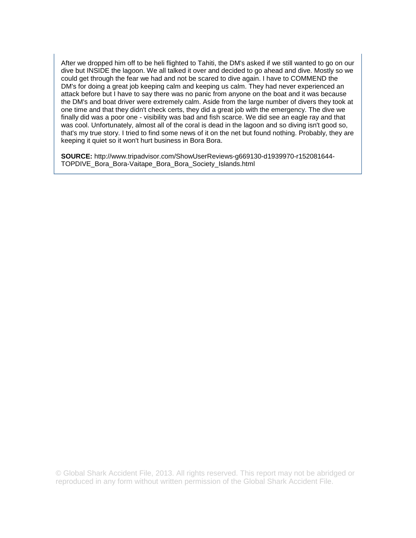After we dropped him off to be heli flighted to Tahiti, the DM's asked if we still wanted to go on our dive but INSIDE the lagoon. We all talked it over and decided to go ahead and dive. Mostly so we could get through the fear we had and not be scared to dive again. I have to COMMEND the DM's for doing a great job keeping calm and keeping us calm. They had never experienced an attack before but I have to say there was no panic from anyone on the boat and it was because the DM's and boat driver were extremely calm. Aside from the large number of divers they took at one time and that they didn't check certs, they did a great job with the emergency. The dive we finally did was a poor one - visibility was bad and fish scarce. We did see an eagle ray and that was cool. Unfortunately, almost all of the coral is dead in the lagoon and so diving isn't good so, that's my true story. I tried to find some news of it on the net but found nothing. Probably, they are keeping it quiet so it won't hurt business in Bora Bora.

**SOURCE:** http://www.tripadvisor.com/ShowUserReviews-g669130-d1939970-r152081644- TOPDIVE\_Bora\_Bora-Vaitape\_Bora\_Bora\_Society\_Islands.html